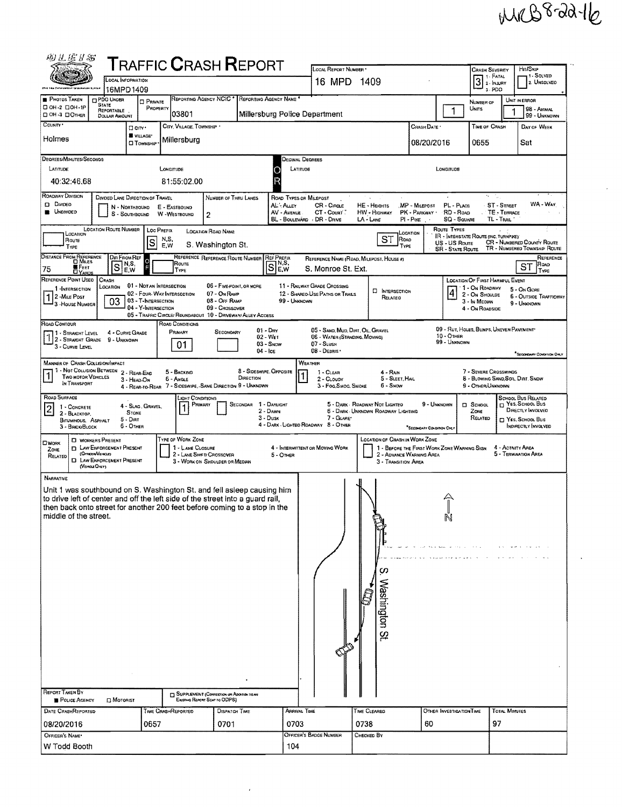## MRB8-22-16

| 49 L E I S                                                                                                                                                  |                                                                        |                        |                                            | <b>TRAFFIC CRASH REPORT</b>                                                    |                                          |                                      |                                  | LOCAL REPORT NUMBER *                                                                                                                                                                                                                                                  |                                                                         |                                             |                                          | Crash Severity                                             |                             | Hn/Sxp                                                            |  |  |  |  |  |
|-------------------------------------------------------------------------------------------------------------------------------------------------------------|------------------------------------------------------------------------|------------------------|--------------------------------------------|--------------------------------------------------------------------------------|------------------------------------------|--------------------------------------|----------------------------------|------------------------------------------------------------------------------------------------------------------------------------------------------------------------------------------------------------------------------------------------------------------------|-------------------------------------------------------------------------|---------------------------------------------|------------------------------------------|------------------------------------------------------------|-----------------------------|-------------------------------------------------------------------|--|--|--|--|--|
| LOCAL INFORMATION                                                                                                                                           |                                                                        |                        |                                            |                                                                                |                                          |                                      |                                  | 16 MPD 1409                                                                                                                                                                                                                                                            |                                                                         |                                             |                                          | $31. FATAL$<br>$2. InJARY$                                 |                             | 1 - SOLVED<br>2. UNSOLVEO                                         |  |  |  |  |  |
| 16MPD1409<br>REPORTING AGENCY NCIC<br>REPORTING AGENCY NAME<br>Photos Taken<br><b>CIPDO UNDER</b><br><b>CI PRIVATE</b>                                      |                                                                        |                        |                                            |                                                                                |                                          |                                      |                                  |                                                                                                                                                                                                                                                                        |                                                                         |                                             | s-PDO<br>NUMBER OF                       |                                                            | UNIT IN ERROR               |                                                                   |  |  |  |  |  |
| □ ОН-2 □ ОН-1Р<br>DOH 3 DOMER                                                                                                                               | <b>STATE</b><br><b>REPORTABLE</b>                                      |                        | PROPERTY                                   | 03801                                                                          |                                          |                                      |                                  | Millersburg Police Department                                                                                                                                                                                                                                          |                                                                         | $\mathbf{1}$                                | UNITS                                    |                                                            | 98 - Andaal<br>99 - UNKNOWN |                                                                   |  |  |  |  |  |
| DOLLAR AMOUNT<br>COUNTY .<br>CITY, VILLAGE, TOWNSHIP '<br><b>City</b>                                                                                       |                                                                        |                        |                                            |                                                                                |                                          |                                      |                                  |                                                                                                                                                                                                                                                                        | CRASH DATE *                                                            |                                             | <b>TIME OF CRASH</b>                     |                                                            | DAY OF WEEK                 |                                                                   |  |  |  |  |  |
| Holmes                                                                                                                                                      | Millersburg                                                            |                        |                                            |                                                                                |                                          |                                      | 08/20/2016                       |                                                                                                                                                                                                                                                                        | 0655                                                                    | Sat                                         |                                          |                                                            |                             |                                                                   |  |  |  |  |  |
| <b>CI TOWNSHIP</b><br>DEGREES/MINUTES/SECONDS                                                                                                               |                                                                        |                        |                                            |                                                                                |                                          |                                      |                                  |                                                                                                                                                                                                                                                                        |                                                                         |                                             |                                          |                                                            |                             |                                                                   |  |  |  |  |  |
| LATITUDE<br>LONGITUDE                                                                                                                                       |                                                                        |                        |                                            |                                                                                |                                          |                                      |                                  | Decimal Degrees<br>LATITUDE<br>LONGITUDE                                                                                                                                                                                                                               |                                                                         |                                             |                                          |                                                            |                             |                                                                   |  |  |  |  |  |
| 40:32:46.68                                                                                                                                                 |                                                                        |                        |                                            | 81:55:02.00                                                                    |                                          |                                      |                                  |                                                                                                                                                                                                                                                                        |                                                                         |                                             |                                          |                                                            |                             |                                                                   |  |  |  |  |  |
| ROADWAY DIVISION                                                                                                                                            | DIVIDED LANE DIRECTION OF TRAVEL                                       |                        |                                            |                                                                                | NUMBER OF THRU LANES                     |                                      |                                  | ROAD TYPES OR MILEPOST                                                                                                                                                                                                                                                 |                                                                         |                                             |                                          | х.<br>÷.                                                   |                             |                                                                   |  |  |  |  |  |
| <b>D</b> Divipeo<br>AL-Auer<br>N - NORTHBOUND<br>E - EASTBOUND<br><b>B</b> UNDIVIDED<br>AV - AVENUE<br>S - SOUTHBOUND<br>W -WESTBOUND<br>2                  |                                                                        |                        |                                            |                                                                                |                                          |                                      |                                  | WA - Way<br>ST - STREET<br>CR - Circle<br>HE - HEIGHTS<br>MP - Milepost<br>PL - PLACE<br>PK - PARKWAY<br>RD - Roap<br>CT - Count<br>HW - HIGHWAY<br>TE - TERRACE<br>BL - BOULEVARD - DR - DRIVE<br>$LA - LME$<br>$PI - P$ <sub>(KE</sub><br>SQ - SQUARE<br>TL - TRAIL' |                                                                         |                                             |                                          |                                                            |                             |                                                                   |  |  |  |  |  |
| LOCATION                                                                                                                                                    | <b>LOCATION ROUTE NUMBER</b>                                           |                        | LOC PREFIX                                 |                                                                                | <b>LOCATION ROAD NAME</b>                |                                      |                                  |                                                                                                                                                                                                                                                                        |                                                                         | LOCATION                                    | ROUTE TYPES                              | <b>IR - INTERSTATE ROUTE (INC. TURNPIKE)</b>               |                             |                                                                   |  |  |  |  |  |
| Route<br>Type                                                                                                                                               |                                                                        |                        | $\vert$ S                                  | N,S,<br>E,W                                                                    | S. Washington St.                        |                                      |                                  |                                                                                                                                                                                                                                                                        | <b>ST</b><br>Road<br>TYPE                                               |                                             | US - US Route<br><b>SR - State Route</b> |                                                            |                             | <b>CR</b> - NUMBERED COUNTY ROUTE<br>TR - NUMBERED TOWNSHIP ROUTE |  |  |  |  |  |
| DISTANCE FROM REFERENCE<br><b>D</b> Mues                                                                                                                    |                                                                        | Dir From Ref<br>N,S,   | $\circ$                                    | ROUTE                                                                          | REFERENCE REFERENCE ROUTE NUMBER         |                                      | REF PREFIX<br>$S$ <sub>E,w</sub> |                                                                                                                                                                                                                                                                        | REFERENCE NAME (ROAD, MILEPOST, HOUSE #)                                |                                             |                                          |                                                            |                             | REFERENCE<br>ROAD                                                 |  |  |  |  |  |
| <b>K</b> FEET<br>75<br><b>LIYAROS</b><br>REFERENCE POINT USED                                                                                               | ls<br>CRASH                                                            | E,W                    |                                            | TYPE                                                                           |                                          |                                      |                                  | S. Monroe St. Ext.                                                                                                                                                                                                                                                     |                                                                         |                                             |                                          | <b>LOCATION OF FIRST HARMFUL EVENT</b>                     |                             | SТ<br>TYPE                                                        |  |  |  |  |  |
| 1-INTERSECTION                                                                                                                                              | LOCATION                                                               |                        | 01 - NOT AN INTERSECTION                   | 02 - Four. WAY INTERSECTION                                                    | 06 - FIVE-POINT, OR MORE<br>07 - On RAMP |                                      |                                  | 11 - RAILWAY GRADE CROSSING<br>12 - SHAREO-USE PATHS OR TRAILS                                                                                                                                                                                                         | <b>C INTERSECTION</b>                                                   |                                             | $\frac{4}{1}$                            | ' 1 - On Roadway<br>2 - On Shoulde                         |                             | 5 - On GORE                                                       |  |  |  |  |  |
| 1 2-MILE POST<br>3 - HOUSE NUMBER                                                                                                                           | 03                                                                     |                        | 03 - T-INTERSECTION<br>04 - Y-INTERSECTION |                                                                                | 08 - Off RAMP<br>09 - Crossover          |                                      | 99 - UNKNOWN                     |                                                                                                                                                                                                                                                                        | RELATED                                                                 |                                             |                                          | 3 - In Median<br>4 - On ROADSIDE                           |                             | 6 - OUTSIDE TRAFFICWAY<br>9 - UNKNOWN                             |  |  |  |  |  |
| Road Contour                                                                                                                                                |                                                                        |                        |                                            | 05 - TRAFFIC CIRCLE/ ROUNDABOUT 10 - DRIVEWAY/ ALLEY ACCESS<br>ROAD CONDITIONS |                                          |                                      |                                  |                                                                                                                                                                                                                                                                        |                                                                         |                                             |                                          |                                                            |                             |                                                                   |  |  |  |  |  |
| 1 - STRAIGHT LEVEL                                                                                                                                          | 4 - CURVE GRADE                                                        |                        |                                            | Primary                                                                        | SECONDARY                                |                                      | $01 - Draw$<br>02 WET            | 05 - SAND, MUD, DIRT, OIL, GRAVEL<br>06 - Water (Standing, Moving)                                                                                                                                                                                                     |                                                                         |                                             | $10 - \text{Other}$                      | 09 - RUT, HOLES, BUMPS, UNEVEN PAVEMENT                    |                             |                                                                   |  |  |  |  |  |
| 2 - STRAIGHT GRADE<br>3 - CURVE LEVEL                                                                                                                       | 9 - UNKNOWN                                                            |                        |                                            | 01                                                                             |                                          | $04 -$ Ice                           | $03 -$ SNOW                      | 07 - SLUSH<br>08 - DEBRIS                                                                                                                                                                                                                                              |                                                                         |                                             | 99 - UNKNOWN                             |                                                            |                             |                                                                   |  |  |  |  |  |
| <b>MANNER OF CRASH COLLISION/IMPACT</b>                                                                                                                     |                                                                        |                        |                                            |                                                                                |                                          |                                      |                                  | <b>WEATHER</b>                                                                                                                                                                                                                                                         |                                                                         |                                             |                                          |                                                            |                             | <sup>*</sup> SECONDARY CONDITION ORLY                             |  |  |  |  |  |
| 1 - NOT COLLISION BETWEEN 2 - REAR-END<br><b>TWO MOTOR VEHICLES</b>                                                                                         |                                                                        | 3 - HEAD-ON            |                                            | 5 - BACKING<br><b>6 - ANGLE</b>                                                |                                          | 8 - SIDESWIPE, OPPOSITE<br>DIRECTION |                                  | $1 - C$ LEAR<br>2 - CLOUDY                                                                                                                                                                                                                                             | 4 - Rain<br>5 - SLEET, HAIL                                             |                                             |                                          | 7 - SEVERE CROSSWINDS<br>8 - Blowing Sand, Sol. Dirt. Snow |                             |                                                                   |  |  |  |  |  |
| IN TRANSPORT                                                                                                                                                |                                                                        |                        |                                            | 4 - REAR-TO-REAR 7 - SIDESWIPE, -SAME DIRECTION 9 - UNKNOWN                    |                                          |                                      |                                  | 3 - Fog, Smog, Smoke                                                                                                                                                                                                                                                   | 6 - Snow                                                                |                                             |                                          | 9 - OTHER/UNKNOWN                                          |                             |                                                                   |  |  |  |  |  |
| ROAD SURFACE<br>1 - CONCRETE<br> 2                                                                                                                          |                                                                        |                        | 4 - Slag, Gravel,                          | Light Conditions<br>PRIMARY                                                    |                                          | SECONDAR                             | 1 - DAYLIGHT                     |                                                                                                                                                                                                                                                                        | 5 - DARK - ROADWAY NOT LIGHTED                                          | 9 - Unknown                                 |                                          | D SCHOOL                                                   |                             | SCHOOL BUS RELATED<br>NES, SCHOOL Bus                             |  |  |  |  |  |
| 2 - BLACKTOP.<br><b>BITUMINOUS, ASPHALT</b>                                                                                                                 |                                                                        | <b>STONE</b><br>5 DIRT |                                            |                                                                                |                                          |                                      | 2 - DAWN<br>3 - Dusk             | 7 - GLARE*                                                                                                                                                                                                                                                             | 6 - DARK UNKNOWN ROADWAY LIGHTING                                       |                                             |                                          | Zone<br>RELATED                                            |                             | DIRECTLY INVOLVED<br>YES, SCHOOL BUS                              |  |  |  |  |  |
| 3 - BRICK/BLOCK                                                                                                                                             |                                                                        | 6 - OTHER              |                                            |                                                                                |                                          |                                      |                                  | 4 - DARK - LIGHTEO ROADWAY 8 - OTHER                                                                                                                                                                                                                                   |                                                                         | *SECONDARY CONDITION ONLY                   |                                          |                                                            |                             | <b>INDIRECTLY INVOLVED</b>                                        |  |  |  |  |  |
| OWORK<br>ZONE                                                                                                                                               | <b>C WORKERS PRESENT</b><br><b>EL LAW ENFORCEMENT PRESENT</b>          |                        |                                            | TYPE OF WORK ZONE<br>1 - LANE CLOSURE                                          |                                          |                                      |                                  | 4 - INTERMITTENT OR MOVING WORK                                                                                                                                                                                                                                        | LOCATION OF CRASH IN WORK ZONE                                          | 1 - BEFORE THE FIRST WORK ZONE WARNING SIGN |                                          |                                                            | 4 - ACTIVITY AREA           |                                                                   |  |  |  |  |  |
| RELATED                                                                                                                                                     | (OFFICER/VEHICLE)<br><b>D</b> LAW ENFORCEMENT PRESENT<br>(VENCLE ONLY) |                        |                                            | 2 - LANE SHIFT CROSSOVER                                                       | 3 - WORK ON SHOULDER OR MEDIAN           |                                      | 5 - OTHER                        |                                                                                                                                                                                                                                                                        | 5 - Ternination Area<br>2 - ADVANCE WARNING AREA<br>3 - TRANSITION AREA |                                             |                                          |                                                            |                             |                                                                   |  |  |  |  |  |
| <b>NARRATIVE</b>                                                                                                                                            |                                                                        |                        |                                            |                                                                                |                                          |                                      |                                  |                                                                                                                                                                                                                                                                        |                                                                         |                                             |                                          |                                                            |                             |                                                                   |  |  |  |  |  |
| Unit 1 was southbound on S. Washington St. and fell asleep causing him                                                                                      |                                                                        |                        |                                            |                                                                                |                                          |                                      |                                  |                                                                                                                                                                                                                                                                        |                                                                         |                                             |                                          |                                                            |                             |                                                                   |  |  |  |  |  |
| to drive left of center and off the left side of the street into a guard rail,<br>then back onto street for another 200 feet before coming to a stop in the |                                                                        |                        |                                            |                                                                                |                                          |                                      |                                  |                                                                                                                                                                                                                                                                        |                                                                         |                                             |                                          |                                                            |                             |                                                                   |  |  |  |  |  |
| middle of the street.                                                                                                                                       |                                                                        |                        |                                            |                                                                                |                                          |                                      |                                  |                                                                                                                                                                                                                                                                        |                                                                         |                                             | N                                        |                                                            |                             |                                                                   |  |  |  |  |  |
|                                                                                                                                                             |                                                                        |                        |                                            |                                                                                |                                          |                                      |                                  |                                                                                                                                                                                                                                                                        |                                                                         |                                             |                                          |                                                            |                             |                                                                   |  |  |  |  |  |
|                                                                                                                                                             |                                                                        |                        |                                            |                                                                                |                                          |                                      |                                  |                                                                                                                                                                                                                                                                        |                                                                         |                                             |                                          |                                                            |                             |                                                                   |  |  |  |  |  |
|                                                                                                                                                             |                                                                        |                        |                                            |                                                                                |                                          |                                      |                                  |                                                                                                                                                                                                                                                                        |                                                                         |                                             |                                          |                                                            |                             |                                                                   |  |  |  |  |  |
|                                                                                                                                                             |                                                                        |                        |                                            |                                                                                |                                          |                                      |                                  |                                                                                                                                                                                                                                                                        | ò.                                                                      |                                             |                                          |                                                            |                             |                                                                   |  |  |  |  |  |
|                                                                                                                                                             |                                                                        |                        |                                            |                                                                                |                                          |                                      |                                  |                                                                                                                                                                                                                                                                        | Washington St.                                                          |                                             |                                          |                                                            |                             |                                                                   |  |  |  |  |  |
|                                                                                                                                                             |                                                                        |                        |                                            |                                                                                |                                          |                                      |                                  |                                                                                                                                                                                                                                                                        |                                                                         |                                             |                                          |                                                            |                             |                                                                   |  |  |  |  |  |
|                                                                                                                                                             |                                                                        |                        |                                            |                                                                                |                                          |                                      |                                  |                                                                                                                                                                                                                                                                        |                                                                         |                                             |                                          |                                                            |                             |                                                                   |  |  |  |  |  |
|                                                                                                                                                             |                                                                        |                        |                                            |                                                                                |                                          |                                      |                                  |                                                                                                                                                                                                                                                                        |                                                                         |                                             |                                          |                                                            |                             |                                                                   |  |  |  |  |  |
|                                                                                                                                                             |                                                                        |                        |                                            |                                                                                |                                          |                                      |                                  |                                                                                                                                                                                                                                                                        |                                                                         |                                             |                                          |                                                            |                             |                                                                   |  |  |  |  |  |
|                                                                                                                                                             |                                                                        |                        |                                            |                                                                                |                                          |                                      |                                  |                                                                                                                                                                                                                                                                        |                                                                         |                                             |                                          |                                                            |                             |                                                                   |  |  |  |  |  |
|                                                                                                                                                             |                                                                        |                        |                                            |                                                                                |                                          |                                      |                                  |                                                                                                                                                                                                                                                                        |                                                                         |                                             |                                          |                                                            |                             |                                                                   |  |  |  |  |  |
| <b>REPORT TAXEN BY</b>                                                                                                                                      |                                                                        |                        |                                            |                                                                                |                                          |                                      |                                  |                                                                                                                                                                                                                                                                        |                                                                         |                                             |                                          |                                                            |                             |                                                                   |  |  |  |  |  |
| POLICE AGENCY                                                                                                                                               | <b>C MOTORIST</b>                                                      |                        |                                            | SUPPLEMENT (CONSECTION OF ADOSPONTO AN                                         | Existing Report Sent to ODPS)            |                                      |                                  |                                                                                                                                                                                                                                                                        |                                                                         |                                             |                                          |                                                            |                             |                                                                   |  |  |  |  |  |
| DATE CRASHREPORTED                                                                                                                                          |                                                                        |                        |                                            | Time CrashReported                                                             | <b>DISPATCH TIME</b>                     |                                      |                                  | Arrival Time                                                                                                                                                                                                                                                           | TIME CLEARED                                                            |                                             | OTHER INVESTIGATION TIME                 |                                                            | <b>TOTAL MINUTES</b>        |                                                                   |  |  |  |  |  |
| 08/20/2016<br>OFFICER'S NAME*                                                                                                                               |                                                                        |                        | 0657                                       |                                                                                | 0701                                     |                                      | 0703                             | Officer's Badge Number                                                                                                                                                                                                                                                 | 0738<br>60<br>Снескер Вү                                                |                                             |                                          |                                                            | 97                          |                                                                   |  |  |  |  |  |
| W Todd Booth                                                                                                                                                |                                                                        |                        |                                            |                                                                                |                                          |                                      | 104                              |                                                                                                                                                                                                                                                                        |                                                                         |                                             |                                          |                                                            |                             |                                                                   |  |  |  |  |  |
|                                                                                                                                                             |                                                                        |                        |                                            |                                                                                |                                          |                                      |                                  |                                                                                                                                                                                                                                                                        |                                                                         |                                             |                                          |                                                            |                             |                                                                   |  |  |  |  |  |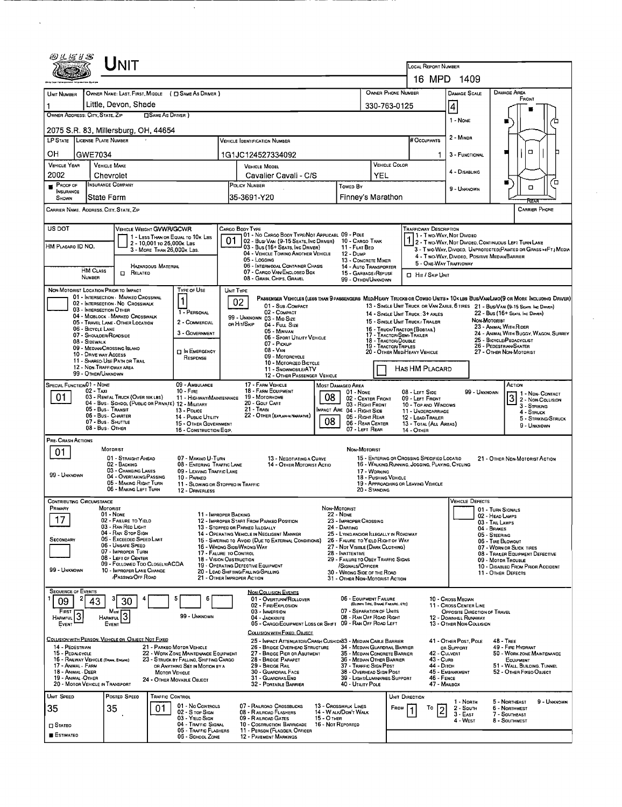| Unit                                                                          |                                                                         |                                                                                                                  | LOCAL REPORT NUMBER                                                                                                                                                                          |                                                                                                                   |                                                                       |                                                     |                                                                                             |                                                                                                        |                                                                                                                                                     |                                                                 |                                                                                                                                                                                                                    |  |  |  |
|-------------------------------------------------------------------------------|-------------------------------------------------------------------------|------------------------------------------------------------------------------------------------------------------|----------------------------------------------------------------------------------------------------------------------------------------------------------------------------------------------|-------------------------------------------------------------------------------------------------------------------|-----------------------------------------------------------------------|-----------------------------------------------------|---------------------------------------------------------------------------------------------|--------------------------------------------------------------------------------------------------------|-----------------------------------------------------------------------------------------------------------------------------------------------------|-----------------------------------------------------------------|--------------------------------------------------------------------------------------------------------------------------------------------------------------------------------------------------------------------|--|--|--|
|                                                                               |                                                                         |                                                                                                                  | 16 MPD 1409                                                                                                                                                                                  |                                                                                                                   |                                                                       |                                                     |                                                                                             |                                                                                                        |                                                                                                                                                     |                                                                 |                                                                                                                                                                                                                    |  |  |  |
| OWNER NAME: LAST, FIRST, MIDDLE ( C SAME AS DRIVER )<br>UNIT NUMBER           | OWNER PHONE NUMBER                                                      | <b>DAMAGE AREA</b><br>DAMAGE SCALE                                                                               |                                                                                                                                                                                              |                                                                                                                   |                                                                       |                                                     |                                                                                             |                                                                                                        |                                                                                                                                                     |                                                                 |                                                                                                                                                                                                                    |  |  |  |
| Little, Devon, Shade<br>1                                                     |                                                                         | 330-763-0125                                                                                                     |                                                                                                                                                                                              | $\vert 4 \vert$                                                                                                   |                                                                       | FRONT                                               |                                                                                             |                                                                                                        |                                                                                                                                                     |                                                                 |                                                                                                                                                                                                                    |  |  |  |
| OWNER ADDRESS: CITY, STATE, ZIP<br><b>SAME AS DRIVER</b> )                    |                                                                         |                                                                                                                  |                                                                                                                                                                                              |                                                                                                                   |                                                                       |                                                     |                                                                                             |                                                                                                        | 1 - NONE                                                                                                                                            |                                                                 |                                                                                                                                                                                                                    |  |  |  |
| 2075 S.R. 83, Millersburg, OH, 44654                                          |                                                                         | 2 - MINDR                                                                                                        |                                                                                                                                                                                              |                                                                                                                   |                                                                       |                                                     |                                                                                             |                                                                                                        |                                                                                                                                                     |                                                                 |                                                                                                                                                                                                                    |  |  |  |
| LP STATE LICENSE PLATE NUMBER                                                 |                                                                         |                                                                                                                  |                                                                                                                                                                                              | <b>VEHICLE IDENTIFICATION NUMBER</b>                                                                              |                                                                       | # Occupants                                         | 3 - FUNCTIONAL                                                                              | о                                                                                                      |                                                                                                                                                     |                                                                 |                                                                                                                                                                                                                    |  |  |  |
| OН<br>GWE7034<br><b>VEHICLE YEAR</b>                                          | <b>VEHICLE MAKE</b>                                                     |                                                                                                                  | 1G1JC124527334092<br>VEHICLE COLOR<br><b>VEHICLE MODEL</b>                                                                                                                                   |                                                                                                                   |                                                                       |                                                     |                                                                                             | 1.                                                                                                     |                                                                                                                                                     |                                                                 |                                                                                                                                                                                                                    |  |  |  |
| 2002                                                                          | Chevrolet                                                               |                                                                                                                  |                                                                                                                                                                                              | Cavalier Cavali - C/S                                                                                             |                                                                       |                                                     | YEL                                                                                         |                                                                                                        | 4 - DISABLING                                                                                                                                       |                                                                 |                                                                                                                                                                                                                    |  |  |  |
| PROOF OF<br><b>INSURANCE</b>                                                  | <b>INSURANCE COMPANY</b>                                                |                                                                                                                  | POLICY NUMBER<br>Towen By                                                                                                                                                                    |                                                                                                                   |                                                                       |                                                     |                                                                                             |                                                                                                        | ≃<br>■<br>о<br>9 - UNKNOWN                                                                                                                          |                                                                 |                                                                                                                                                                                                                    |  |  |  |
| SHOWN<br>CARRIER NAME, AODRESS, CITY, STATE, ZIP                              | State Farm                                                              |                                                                                                                  |                                                                                                                                                                                              | 35-3691-Y20                                                                                                       |                                                                       | Finney's Marathon                                   |                                                                                             | REAL<br><b>CARRIER PHONE</b>                                                                           |                                                                                                                                                     |                                                                 |                                                                                                                                                                                                                    |  |  |  |
|                                                                               |                                                                         |                                                                                                                  |                                                                                                                                                                                              |                                                                                                                   |                                                                       |                                                     |                                                                                             |                                                                                                        |                                                                                                                                                     |                                                                 |                                                                                                                                                                                                                    |  |  |  |
| US DOT                                                                        |                                                                         | <b>VEHICLE WEIGHT GVWR/GCWR</b><br>1 - LESS THAN OR EQUAL TO 10K LBS                                             | CARGO BODY TYPE                                                                                                                                                                              | 01 - No CARGO BODY TYPE/NOT APPLICABL 09 - POLE                                                                   |                                                                       |                                                     |                                                                                             | <b>TRAFFICWAY DESCRIPTION</b>                                                                          | 1 - Two Way, Not Divideo                                                                                                                            |                                                                 |                                                                                                                                                                                                                    |  |  |  |
| HM PLACARO ID NO.                                                             |                                                                         | 2 - 10,001 To 26,000K Les<br>3 - MORE THAN 26,000K LBS.                                                          | 01                                                                                                                                                                                           | 02 - Bus/ Van (9-15 Seats, Inc Driver)<br>03 - Bus (16+ Seats, Inc Driver)                                        |                                                                       | 10 - Cargo Tank<br>11 - FLAT BED                    |                                                                                             |                                                                                                        | 1 - Two-Way, Not Divided<br>2 - Two-Way, Not Divided, Continuous Left Turn Lane<br>3 - Two WAY, DIVIDED. UNPROTECTED (PAINTED OR GRASS >4FT.) MEDIA |                                                                 |                                                                                                                                                                                                                    |  |  |  |
|                                                                               |                                                                         | HAZARDOUS MATERIAL                                                                                               |                                                                                                                                                                                              | 04 - VEHICLE TOWINO ANOTHER VEHICLE<br>05 - Logging<br>06 - INTERMODAL CONTAINER CHASIS                           | <b>12 - Dump</b><br>13 - CONCRETE MIXER<br>14 - AUTO TRANSPORTER      |                                                     |                                                                                             | 4 - Two-Way, Divideo, Positive Median Barrier<br>5 - ONE-WAY TRAFFICWAY                                |                                                                                                                                                     |                                                                 |                                                                                                                                                                                                                    |  |  |  |
| <b>HM CLASS</b><br>NUMBER                                                     | <b>D</b> RELATED                                                        |                                                                                                                  |                                                                                                                                                                                              | 07 - CARGO VAN/ENCLOSED BOX<br>08 - Gran, Chips, Gravel                                                           | 15 - GARBAGE/REFUSE<br>99 - OTHER/UNKNOWN                             |                                                     | <b>CI HIT / SKIP UNIT</b>                                                                   |                                                                                                        |                                                                                                                                                     |                                                                 |                                                                                                                                                                                                                    |  |  |  |
| NON-MOTORIST LOCATION PRIOR TO IMPACT                                         |                                                                         | <b>TYPE OF USE</b>                                                                                               | UNIT TYPE                                                                                                                                                                                    |                                                                                                                   |                                                                       |                                                     |                                                                                             |                                                                                                        |                                                                                                                                                     |                                                                 |                                                                                                                                                                                                                    |  |  |  |
| 03 - INTERSECTION OTHER                                                       | 01 - INTERSECTION - MARKED CROSSWAL<br>02 - INTERSECTION - NO CROSSWALK | 1                                                                                                                | 02                                                                                                                                                                                           | 01 - Sub COMPACT                                                                                                  |                                                                       |                                                     |                                                                                             |                                                                                                        |                                                                                                                                                     |                                                                 | PASSENGER VEHICLES (LESS THAN 9 PASSENGERS MEDIMEAVY TRUCKS OR COMBO UNITS > 10K LBS BUS/VAWLIMO(9 OR MORE INCLUDING DRIVER)<br>13 - SINGLE UNIT TRUCK OR VAN 2AXLE, 6 TIRES 21 - BUS/VAN (9-15 SEATS, INC DRIVER) |  |  |  |
|                                                                               | 04 - MIDBLOCK - MARKED CROSSWALK<br>05 - Travel LANE - OTHER LOCATION   | 1 - PERSONAL<br>2 - COMMERCIAL                                                                                   | or Hit/Skip                                                                                                                                                                                  | 02 - COMPACT<br>99 - UNKNOWN 03 - MID SIZE                                                                        |                                                                       |                                                     |                                                                                             | 14 - SINGLE UNIT TRUCK: 3+ AXLES<br>15 - SINGLE UNIT TRUCK / TRAILER                                   | 22 - Bus (16+ Seats, Inc Driver)<br>NON-MOTORIST                                                                                                    |                                                                 |                                                                                                                                                                                                                    |  |  |  |
| 06 - BICYCLE LANE<br>07 - SHOULDER/ROADSIDE                                   |                                                                         | 3 - GOVERNMENT                                                                                                   |                                                                                                                                                                                              | 04 - FutL Size<br>05 - MINIVAN<br>06 - SPORT UTILITY VEHICLE                                                      |                                                                       |                                                     |                                                                                             | 16 - TRUCK/TRACTOR (BOBTAIL)<br>17 - TRACTOR/SEMI-TRAILER                                              |                                                                                                                                                     | 23 - ANIMAL WITH RIDER<br>24 - ANIMAL WITH BUGGY, WAGON, SURREY |                                                                                                                                                                                                                    |  |  |  |
| 08 - SIDEWALK                                                                 | 09 - MEDIAN CROSSING ISLAND                                             | □ In Emergency                                                                                                   |                                                                                                                                                                                              | 07 - Pickup<br>08 - Van                                                                                           | 18 - TRACTOR/DOUBLE<br><b>19 - TRACTOR/TRIPLES</b>                    | 20 - OTHER MEDIHEAVY VEHICLE                        | 25 - BICYCLE/PEDACYCLIST<br>26 - PEDESTRIAN/SKATER<br>27 - Other Non Motorist               |                                                                                                        |                                                                                                                                                     |                                                                 |                                                                                                                                                                                                                    |  |  |  |
| 10 - DRIVE WAY ACCESS                                                         | 11 - SHAREO-USE PATH OR TRAIL                                           | RESPONSE                                                                                                         | 09 - MOTORCYCLE<br>10 - MOTORIZED BICYCLE                                                                                                                                                    |                                                                                                                   |                                                                       |                                                     |                                                                                             |                                                                                                        |                                                                                                                                                     |                                                                 |                                                                                                                                                                                                                    |  |  |  |
| 12 - NON-TRAFFICWAY AREA<br>99 - OTHER/UNKNOWN                                |                                                                         |                                                                                                                  | 11 - SNOWMOBILE/ATV<br>12 - OTHER PASSENGER VEHICLE                                                                                                                                          |                                                                                                                   |                                                                       |                                                     |                                                                                             | HAS HM PLACARD                                                                                         |                                                                                                                                                     |                                                                 |                                                                                                                                                                                                                    |  |  |  |
| SPECIAL FUNCTION 01 - NONE<br>09 - AMBULANCE<br>$10 -$ FIRE<br>02 - Taxi      |                                                                         |                                                                                                                  |                                                                                                                                                                                              | 17 - FARM VEHICLE<br><b>MOST DAMAGED AREA</b><br>18 - FARM EQUIPMENT<br>01 - None                                 |                                                                       |                                                     |                                                                                             |                                                                                                        |                                                                                                                                                     | 99 - UNKNOWN                                                    | ACTION<br>1 1 - Non- Contact                                                                                                                                                                                       |  |  |  |
| 01.                                                                           | 03 - RENTAL TRUCK (OVER 10K LBS)<br>05 - Bus - Transit                  | 11 - Highway/Maintenance<br>04 - Bus - SCHDOL (PUBLIC OR PRIVATE) 12 - MILITARY                                  | 19 - Мотовноме<br>08<br>02 - CENTER FRONT<br>20 - GOLF CART<br>03 - RIGHT FRONT<br>21 - Tran                                                                                                 |                                                                                                                   |                                                                       |                                                     |                                                                                             | 3 2 - Non-Contact<br>09 - LEFT FRONT<br>10 - Top and Windows<br>3 - STRIKING                           |                                                                                                                                                     |                                                                 |                                                                                                                                                                                                                    |  |  |  |
|                                                                               | 06 - Bus - Charter<br>07 - Bus - SHUTTLE                                | 13 - Pouce<br>14 - Pusuc UTILITY                                                                                 | MPACT ARE 04 - RIGHT SIDE<br>22 - OTHER (EXPLAN IN NARRATIVE)<br>05 - RIGHT REAR<br>08<br>06 - REAR CENTER                                                                                   |                                                                                                                   |                                                                       |                                                     |                                                                                             | 11 - UNDERCARRIAGE<br>4 - STRUCK<br>12 - LOAD/TRAILER<br>5 - STRIKING/STRUCK<br>13 - TOTAL (ALL AREAS) |                                                                                                                                                     |                                                                 |                                                                                                                                                                                                                    |  |  |  |
|                                                                               | 08 - Bus - Other                                                        | 15 - OTHER GOVERNMENT<br>16 - CONSTRUCTION EQIP.                                                                 |                                                                                                                                                                                              |                                                                                                                   |                                                                       | 07 - LEFT REAR                                      |                                                                                             | 14 - Отнев                                                                                             |                                                                                                                                                     |                                                                 | 9 - UNKNOWN                                                                                                                                                                                                        |  |  |  |
| PRE- CRASH ACTIONS<br>01                                                      | <b>MOTORIST</b>                                                         |                                                                                                                  |                                                                                                                                                                                              |                                                                                                                   |                                                                       | Non-Motorist                                        |                                                                                             |                                                                                                        |                                                                                                                                                     |                                                                 |                                                                                                                                                                                                                    |  |  |  |
|                                                                               | 01 - Straight Ahead<br>02 - BACKING                                     | 07 - MAKINO U-TURN<br>08 - ENTERING TRAFFIC LANE                                                                 |                                                                                                                                                                                              | 13 - NEGOTIATING A CURVE<br>14 - OTHER MOTORIST ACTIO                                                             |                                                                       |                                                     |                                                                                             | 15 - ENTERING OR CROSSING SPECIFIED LOCATIO<br>16 - WALKING, RUNNING, JOGGING, PLAYING, CYCLING        |                                                                                                                                                     |                                                                 | 21 - OTHER NON-MOTORIST ACTION                                                                                                                                                                                     |  |  |  |
| 99 - UNKNOWN                                                                  | 03 - CHANGING LANES<br>04 - OVERTAKING/PASSING                          | 09 - LEAVING TRAFFIC LANE<br>10 - PARKED                                                                         |                                                                                                                                                                                              |                                                                                                                   |                                                                       |                                                     | 17 - WORKING<br>18 - PUSHING VEHICLE                                                        |                                                                                                        |                                                                                                                                                     |                                                                 |                                                                                                                                                                                                                    |  |  |  |
|                                                                               | 05 - MAKING RIGHT TURN<br>06 - MAKING LEFT TURN                         | 11 - SLOWING OR STOPPED IN TRAFFIC<br>12 - DRIVERLESS                                                            |                                                                                                                                                                                              |                                                                                                                   |                                                                       |                                                     | 20 - STANDING                                                                               | 19 - APPROACHING OR LEAVING VEHICLE                                                                    |                                                                                                                                                     |                                                                 |                                                                                                                                                                                                                    |  |  |  |
| CONTRIBUTING CIRCUMSTANCE<br><b>FRIMARY</b>                                   | MOTORIST                                                                |                                                                                                                  |                                                                                                                                                                                              |                                                                                                                   | Non-Motorist                                                          |                                                     | <b>VEHICLE DEFECTS</b>                                                                      |                                                                                                        | 01 - Turn Signals                                                                                                                                   |                                                                 |                                                                                                                                                                                                                    |  |  |  |
| 17                                                                            | 01 - None<br>02 - FAILURE TO YIELD                                      |                                                                                                                  | 11 - IMPROPER BACKING                                                                                                                                                                        | 12 - IMPROPER START FROM PARKED POSITION                                                                          | <b>22 - NONE</b><br>23 - IMPROPER CROSSING                            |                                                     | 02 - HEAD LAMPS<br>03 - TAIL LAMPS                                                          |                                                                                                        |                                                                                                                                                     |                                                                 |                                                                                                                                                                                                                    |  |  |  |
|                                                                               | 03 - RAN RED LIGHT<br>04 - RAN STOP SIGN                                |                                                                                                                  |                                                                                                                                                                                              | 13 - STOPPED OR PARKED LLEGALLY<br>14 - OPERATING VEHICLE IN NEGLIGENT MANNER                                     | 25 - LYING AND/OR ILLEGALLY IN ROADWAY                                | 04 - BRAKES<br>05 - STEERING                        |                                                                                             |                                                                                                        |                                                                                                                                                     |                                                                 |                                                                                                                                                                                                                    |  |  |  |
| Secondary                                                                     | 05 - Exceeped Speed Limit<br>06 - UNSAFE SPEED<br>07 - IMPROPER TURN    |                                                                                                                  | 16 - WRONG SIDE/WRONG WAY                                                                                                                                                                    | 15 - SWERING TO AVOIO (DUE TO EXTERNAL CONDITIONS)                                                                | 26 - FALURE TO YIELD RIGHT OF WAY<br>27 - NOT VISIBLE (DARK CLOTHING) |                                                     | 06 - TIRE BLOWOUT<br>07 - WORN OR SLICK TIRES                                               |                                                                                                        |                                                                                                                                                     |                                                                 |                                                                                                                                                                                                                    |  |  |  |
|                                                                               | 08 - LEFT OF CENTER<br>09 - FOLLOWED TOO CLOSELY/ACDA                   |                                                                                                                  | 17 - FALURE TO CONTROL<br>18 - VISION OBSTRUCTION                                                                                                                                            |                                                                                                                   | 28 - INATTENTIVE<br>29 - FAILURE TO OBEY TRAFFIC SIGNS                |                                                     | 08 - TRAILER EQUIPMENT DEFECTIVE<br>09 - MOTOR TROUBLE<br>10 - DISABLED FROM PRIOR ACCIDENT |                                                                                                        |                                                                                                                                                     |                                                                 |                                                                                                                                                                                                                    |  |  |  |
| 99 - Unknown                                                                  | 10 - IMPROPER LANE CHANGE<br>PASSING/OFF ROAD                           |                                                                                                                  | 19 - OPERATING DEFECTIVE EQUIPMENT<br>/SIGNALS/OFFICER<br>20 - LOAO SHIFTING/FALLING/SPILLING<br>30 - WRONG SIDE OF THE ROAD<br>21 - OTHER IMPROPER ACTION<br>31 - OTHER NON-MOTORIST ACTION |                                                                                                                   |                                                                       |                                                     |                                                                                             |                                                                                                        | 11 - OTHER DEFECTS                                                                                                                                  |                                                                 |                                                                                                                                                                                                                    |  |  |  |
| <b>SEQUENCE OF EVENTS</b>                                                     |                                                                         |                                                                                                                  |                                                                                                                                                                                              | <b>NON-COLLISION EVENTS</b>                                                                                       |                                                                       |                                                     |                                                                                             |                                                                                                        |                                                                                                                                                     |                                                                 |                                                                                                                                                                                                                    |  |  |  |
| 09<br>43                                                                      | 30                                                                      | 5                                                                                                                |                                                                                                                                                                                              | 01 - OVERTURN/ROLLOVER<br>02 - FIRE/EXPLOSION                                                                     |                                                                       | 06 - EQUIPMENT FAILURE                              | (BLOWN TIRE, BRAKE FAILURE, ETC)                                                            |                                                                                                        | 10 - Cross Median<br>11 - CROSS CENTER LINE                                                                                                         |                                                                 |                                                                                                                                                                                                                    |  |  |  |
| FIRST<br>3<br><b>HARMFUL</b>                                                  | Most<br>HARMFUL                                                         | 99 - Unknown                                                                                                     |                                                                                                                                                                                              | 03 - IMMERSION<br>04 - JACKKNIFE<br>05 - CARGO/EOUIPMENT LOSS OR SHIFT 09 - RAN OFF ROAD LEFT                     |                                                                       | 07 - SEPARATION OF UNITS<br>08 - RAN OFF ROAD RIGHT |                                                                                             |                                                                                                        | OPPOSITE DIRECTION OF TRAVEL<br>12 - DOWNHILL RUNAWAY                                                                                               |                                                                 |                                                                                                                                                                                                                    |  |  |  |
| EVENT                                                                         | EVENT                                                                   |                                                                                                                  |                                                                                                                                                                                              | COLLISION WITH FIXED, OBJECT                                                                                      |                                                                       |                                                     |                                                                                             |                                                                                                        | 13 - OTHER NON-COLLISION                                                                                                                            |                                                                 |                                                                                                                                                                                                                    |  |  |  |
| COLLISION WITH PERSON, VEHICLE OR OBJECT NOT FIXED<br>14 - PEDESTRIAN         |                                                                         | 21 - PARKEO MOTOR VEHICLE                                                                                        |                                                                                                                                                                                              | 25 - IMPACT ATTENUATOR/CRASH CUSHIDI83 - MEDIAN CABLE BARRIER<br>26 - BRIDGE OVERHEAD STRUCTURE                   |                                                                       | 34 - MEDIAN GUARDRAIL BARRIER                       |                                                                                             |                                                                                                        | 41 - OTHER POST, POLE<br><b>DR SUPPORT</b>                                                                                                          |                                                                 | <b>48 - TREE</b><br>49 - FIRE HYDRANT                                                                                                                                                                              |  |  |  |
| 15 - PEDALCYCLE<br>16 - RAILWAY VEHICLE (TRAIN, ENGINE)<br>17 - ANIMAL - FARM |                                                                         | 22 - WORK ZONE MAINTENANCE EQUIPMENT<br>23 - STRUCK BY FALLING, SHIFTING CARGO<br>OR ANYTHING SET IN MOTION BY A | 27 - BRIDGE PIER OR ABUTMENT<br>35 - MEDIAN CONCRETE BARRIER<br>28 - BRIDGE PARAPET                                                                                                          |                                                                                                                   |                                                                       |                                                     | 36 - MEDIAN OTHER BARRIER<br>37 - TRAFFIC SIGN POST                                         | 43 - Cuna<br>44 - Оттсн                                                                                | 42 - CULVERT<br>50 - WORK ZONE MAINTENANCE<br><b>EQUIPMENT</b><br>51 - WALL, BULDING, TUNNEL                                                        |                                                                 |                                                                                                                                                                                                                    |  |  |  |
| 18 - ANIMAL DEER<br>19 - ANIMAL -OTHER                                        |                                                                         | MOTOR VEHICLE<br>24 - OTHER MOVABLE OBJECT                                                                       | 29 - Bridge Rail<br>30 - GUARDRAIL FACE<br>31 - GUARDRAILEND                                                                                                                                 |                                                                                                                   |                                                                       |                                                     | 38 - OVERHEAD SIGN POST<br>39 - LIGHT/LUMINARIES SUPPORT<br>$46 -$ FENCE                    |                                                                                                        |                                                                                                                                                     | 45 - EMBANKMENT<br>52 - OTHER FIXEO OBJECT                      |                                                                                                                                                                                                                    |  |  |  |
| 20 - MOTOR VEHICLE IN TRANSPORT                                               |                                                                         |                                                                                                                  |                                                                                                                                                                                              | 32 - PORTABLE BARRIER                                                                                             |                                                                       | 40 - UTILITY POLE                                   |                                                                                             | 47 - MALBOX                                                                                            |                                                                                                                                                     |                                                                 |                                                                                                                                                                                                                    |  |  |  |
| UNIT SPEED<br>35                                                              | POSTED SPEED<br>35                                                      | <b>TRAFFIC CONTROL</b><br>01 - No CONTROLS<br>01                                                                 |                                                                                                                                                                                              | 07 - RAILROAO CROSSBUCKS                                                                                          |                                                                       | 13 - Crosswalk Lines                                | <b>FROM</b>                                                                                 | Unit Direction<br>То                                                                                   | 1 - North<br>2 - South                                                                                                                              |                                                                 | 5 - Northeast<br>9 - UNKNOWN<br>6 - Northwest                                                                                                                                                                      |  |  |  |
|                                                                               |                                                                         | 02 - S TOP SIGN<br>03 - YIELD SIGN                                                                               | 14 - WALK/DON'T WALK<br>08 - RAILROAD FLASHERS<br>09 - RAILROAD GATES<br>15 - O THER                                                                                                         |                                                                                                                   |                                                                       |                                                     |                                                                                             | 2                                                                                                      | $3 - EAST$<br>4 WEST                                                                                                                                |                                                                 | 7 - Southeast<br>8 - SOUTHWEST                                                                                                                                                                                     |  |  |  |
| $\square$ Stateo<br><b>ESTIMATED</b>                                          |                                                                         | 04 - Traffic Signal<br>05 - TRAFFIC FLASHERS<br>06 - SCHOOL ZONE                                                 |                                                                                                                                                                                              | 16 - Not Reported<br>10 - COSTRUCTION BARRICADE<br>11 - PERSON (FLAGGER, OFFICER<br><b>12 - PAVEMENT MARKINGS</b> |                                                                       |                                                     |                                                                                             |                                                                                                        |                                                                                                                                                     |                                                                 |                                                                                                                                                                                                                    |  |  |  |
|                                                                               |                                                                         |                                                                                                                  |                                                                                                                                                                                              |                                                                                                                   |                                                                       |                                                     |                                                                                             |                                                                                                        |                                                                                                                                                     |                                                                 |                                                                                                                                                                                                                    |  |  |  |

 $\mathcal{A}$ 

 $\sim 10^7$ 

 $\sim$ 

 $\hat{\mathcal{A}}$